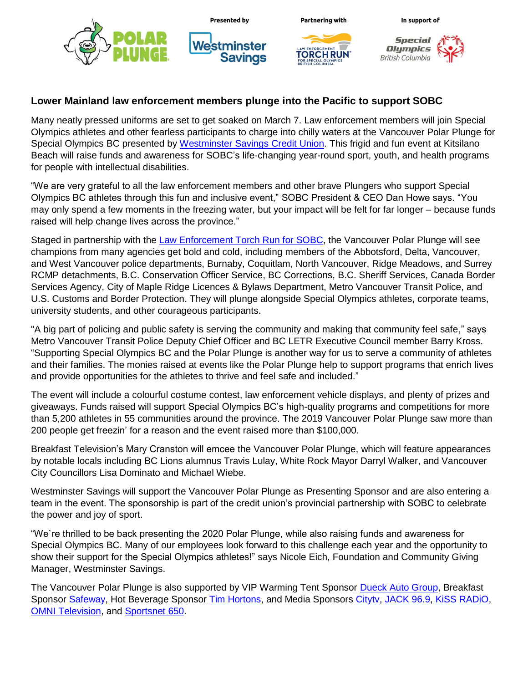

## **Lower Mainland law enforcement members plunge into the Pacific to support SOBC**

Many neatly pressed uniforms are set to get soaked on March 7. Law enforcement members will join Special Olympics athletes and other fearless participants to charge into chilly waters at the Vancouver Polar Plunge for Special Olympics BC presented by [Westminster Savings](https://www.wscu.com/Personal/) Credit Union. This frigid and fun event at Kitsilano Beach will raise funds and awareness for SOBC's life-changing year-round sport, youth, and health programs for people with intellectual disabilities.

"We are very grateful to all the law enforcement members and other brave Plungers who support Special Olympics BC athletes through this fun and inclusive event," SOBC President & CEO Dan Howe says. "You may only spend a few moments in the freezing water, but your impact will be felt for far longer – because funds raised will help change lives across the province."

Staged in partnership with the [Law Enforcement Torch Run for SOBC,](https://www.specialolympics.ca/british-columbia/ways-give/law-enforcement-torch-run) the Vancouver Polar Plunge will see champions from many agencies get bold and cold, including members of the Abbotsford, Delta, Vancouver, and West Vancouver police departments, Burnaby, Coquitlam, North Vancouver, Ridge Meadows, and Surrey RCMP detachments, B.C. Conservation Officer Service, BC Corrections, B.C. Sheriff Services, Canada Border Services Agency, City of Maple Ridge Licences & Bylaws Department, Metro Vancouver Transit Police, and U.S. Customs and Border Protection. They will plunge alongside Special Olympics athletes, corporate teams, university students, and other courageous participants.

"A big part of policing and public safety is serving the community and making that community feel safe," says Metro Vancouver Transit Police Deputy Chief Officer and BC LETR Executive Council member Barry Kross. "Supporting Special Olympics BC and the Polar Plunge is another way for us to serve a community of athletes and their families. The monies raised at events like the Polar Plunge help to support programs that enrich lives and provide opportunities for the athletes to thrive and feel safe and included."

The event will include a colourful costume contest, law enforcement vehicle displays, and plenty of prizes and giveaways. Funds raised will support Special Olympics BC's high-quality programs and competitions for more than 5,200 athletes in 55 communities around the province. The 2019 Vancouver Polar Plunge saw more than 200 people get freezin' for a reason and the event raised more than \$100,000.

Breakfast Television's Mary Cranston will emcee the Vancouver Polar Plunge, which will feature appearances by notable locals including BC Lions alumnus Travis Lulay, White Rock Mayor Darryl Walker, and Vancouver City Councillors Lisa Dominato and Michael Wiebe.

Westminster Savings will support the Vancouver Polar Plunge as Presenting Sponsor and are also entering a team in the event. The sponsorship is part of the credit union's provincial partnership with SOBC to celebrate the power and joy of sport.

"We`re thrilled to be back presenting the 2020 Polar Plunge, while also raising funds and awareness for Special Olympics BC. Many of our employees look forward to this challenge each year and the opportunity to show their support for the Special Olympics athletes!" says Nicole Eich, Foundation and Community Giving Manager, Westminster Savings.

The Vancouver Polar Plunge is also supported by VIP Warming Tent Sponsor [Dueck Auto Group,](https://www.dueckgm.com/) Breakfast Sponsor [Safeway,](https://www.safeway.ca/) Hot Beverage Sponsor [Tim Hortons,](https://www.timhortons.com/) and Media Sponsors [Citytv,](https://www.btvancouver.ca/) [JACK 96.9,](https://www.jack969.com/) [KiSS RADiO,](https://www.kissradio.ca/) **[OMNI Television,](https://www.omnitv.ca/bc/en/) and [Sportsnet 650.](https://www.sportsnet.ca/650/)**